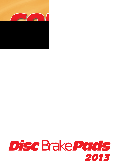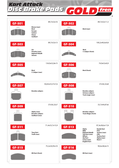*Disc Brake Pads Disc Brake Pads Kart Attack*

 $^{\circ}$ 

| <b>GF-501</b><br>$\circ$<br>$\circ$ | 89,7x52x16<br><b>Biesse (rear)</b><br><b>Birel</b><br><b>Europa</b><br><b>GoKart</b><br><b>Haase</b><br><b>Sodikart</b> | 89,7x52x11,5<br><b>GF-502</b><br><b>Birel (rear)</b><br>$\circ$<br>$\circ$                                                                                                                                                                                                         |
|-------------------------------------|-------------------------------------------------------------------------------------------------------------------------|------------------------------------------------------------------------------------------------------------------------------------------------------------------------------------------------------------------------------------------------------------------------------------|
| GF-503<br>$\bullet$<br>$\circ$      | 89,7x52x13<br>Arc<br>Piranha (rear)<br><b>Righetti Ridolfi</b><br><b>Venom</b>                                          | 100,2x40,6x9,8<br><b>GF-504</b><br><b>Birel</b><br><b>C</b> Caliper (front)                                                                                                                                                                                                        |
| <b>GF-505</b>                       | 134,9x52,8x15<br><b>Birel</b><br><b>C</b> Caliper (rear)                                                                | 74,9x52x9,9<br>GF-506<br><b>Birel (front)</b><br>$\circ$<br>$\circ$                                                                                                                                                                                                                |
| <b>GF-507</b>                       | 50,65x53,57x7,6<br><b>Brembo calipers</b>                                                                               | 37x56,32x8<br><b>GF-508</b><br>$\sum_{i=1}^{n}$<br><b>Brembo calipers</b><br><b>Grimeca calipers</b><br><b>Track magic (rear)</b>                                                                                                                                                  |
| GF-509<br>$\overline{O}$            | 37x56,32x7<br>Alpha (rear)<br><b>Brembo calipers</b><br>Sodikart (rear)                                                 | 33,7x44,87x6<br>GF-510<br><b>Brembo calipers</b><br><b>Track Magic (front)</b>                                                                                                                                                                                                     |
| GF-511                              | 71,4x53,7x15,9<br><b>Tony Kart</b><br>Trulli (rear)                                                                     | 97,4x38,6x17,8<br>GF-513<br>Alpha<br>Kombi Kart<br><b>MBA</b><br><b>PCR</b><br><b>Righetti Ridolfi</b><br>Techno (rear)<br><b>Top Kart (rear)</b><br><b>CRG</b><br>Wilson<br><b>Techno Kart</b><br>Alpha (rear)<br><b>Zip Kart</b><br>Como (rear)<br>Mach 1<br><b>English Kart</b> |
| <b>GF-515</b>                       | 75,2x34,95x10<br><b>MS Kart (front)</b>                                                                                 | 90,6x38,6x15<br>GF-516<br><b>MS Kart (rear)</b>                                                                                                                                                                                                                                    |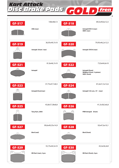*Disc Brake Pads Disc Brake Pads Kart Attack*

 $^{\circledR}$ 

|                                           | 108x48x13                                |                                | 89,5x49,6x12,5                                                                 |
|-------------------------------------------|------------------------------------------|--------------------------------|--------------------------------------------------------------------------------|
| <b>GF-517</b>                             | <b>CRG</b> (rear)                        | GF-518<br>O                    | <b>Intrepid EVO 3 (rear)</b><br>SKM (rear)                                     |
| <b>GF-519</b><br>$\overset{\circ}{\circ}$ | 36,95x49,7x10<br>Intrepid (front / rear) | GF-520<br>റ                    | 79,95x46,2x12,5<br>Intrepid EVO 8 (rear)                                       |
| $GF-521$                                  | 81,8x46,7x10<br>Intrepid                 | GF-522<br>$\circ$<br>$\bullet$ | 73,9x44,6x10<br>Intrepid (front)<br>Wildkart (front / 4 piston)<br>SKM (front) |
| GF-523<br>õ                               | 37,75x47,7x8,5<br>Intrepid (front/rear)  | GF-524<br>O                    | 81,6x51,5x12,6<br>Intrepid 125 ccm, 07 - (rear)                                |
| GF-525<br>О                               | 43,8x57,38x8,8<br>Tony Kart, 2005        | GF-526                         | 41,3x38,3x6,8<br>FRM Intrepid (front)                                          |
| <b>GF-527</b>                             | 99,6x49,35x14,9<br><b>Birel (real)</b>   | <b>GF-528</b>                  | 92x47,6x10,1<br><b>Birel (front)</b>                                           |
| GF-529                                    | 55,75x44,5x10<br>MS Kart (rear), 2 pcs   | GF-530                         | 43,4x36,4x9<br><b>MS Kart (front), 4 pcs</b>                                   |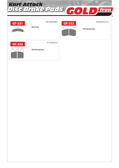